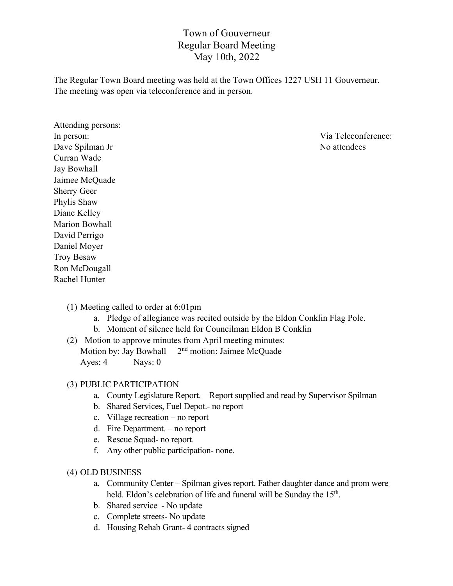# Town of Gouverneur Regular Board Meeting May 10th, 2022

The Regular Town Board meeting was held at the Town Offices 1227 USH 11 Gouverneur. The meeting was open via teleconference and in person.

Attending persons: Dave Spilman Jr No attendees Curran Wade Jay Bowhall Jaimee McQuade Sherry Geer Phylis Shaw Diane Kelley Marion Bowhall David Perrigo Daniel Moyer Troy Besaw Ron McDougall Rachel Hunter

In person: Via Teleconference:

- (1) Meeting called to order at 6:01pm
	- a. Pledge of allegiance was recited outside by the Eldon Conklin Flag Pole.
	- b. Moment of silence held for Councilman Eldon B Conklin
- (2) Motion to approve minutes from April meeting minutes: Motion by: Jay Bowhall 2<sup>nd</sup> motion: Jaimee McQuade Ayes: 4 Nays: 0

#### (3) PUBLIC PARTICIPATION

- a. County Legislature Report. Report supplied and read by Supervisor Spilman
- b. Shared Services, Fuel Depot.- no report
- c. Village recreation no report
- d. Fire Department. no report
- e. Rescue Squad- no report.
- f. Any other public participation- none.

#### (4) OLD BUSINESS

- a. Community Center Spilman gives report. Father daughter dance and prom were held. Eldon's celebration of life and funeral will be Sunday the 15<sup>th</sup>.
- b. Shared service No update
- c. Complete streets- No update
- d. Housing Rehab Grant- 4 contracts signed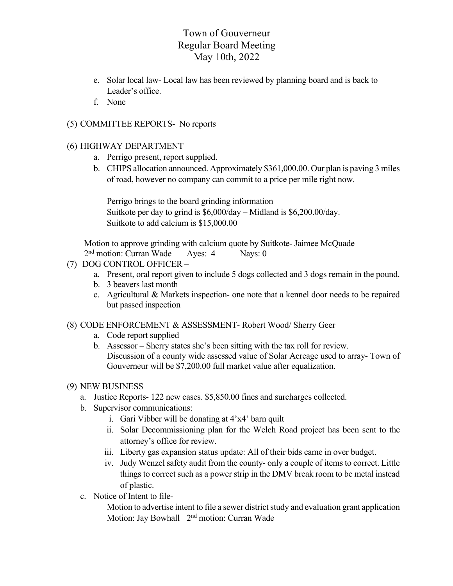# Town of Gouverneur Regular Board Meeting May 10th, 2022

- e. Solar local law- Local law has been reviewed by planning board and is back to Leader's office.
- f. None

## (5) COMMITTEE REPORTS- No reports

### (6) HIGHWAY DEPARTMENT

- a. Perrigo present, report supplied.
- b. CHIPS allocation announced. Approximately \$361,000.00. Our plan is paving 3 miles of road, however no company can commit to a price per mile right now.

Perrigo brings to the board grinding information Suitkote per day to grind is \$6,000/day – Midland is \$6,200.00/day. Suitkote to add calcium is \$15,000.00

Motion to approve grinding with calcium quote by Suitkote- Jaimee McQuade 2nd motion: Curran Wade Ayes: 4 Nays: 0

- (7) DOG CONTROL OFFICER
	- a. Present, oral report given to include 5 dogs collected and 3 dogs remain in the pound.
	- b. 3 beavers last month
	- c. Agricultural & Markets inspection- one note that a kennel door needs to be repaired but passed inspection
- (8) CODE ENFORCEMENT & ASSESSMENT- Robert Wood/ Sherry Geer
	- a. Code report supplied
	- b. Assessor Sherry states she's been sitting with the tax roll for review. Discussion of a county wide assessed value of Solar Acreage used to array- Town of Gouverneur will be \$7,200.00 full market value after equalization.

### (9) NEW BUSINESS

- a. Justice Reports- 122 new cases. \$5,850.00 fines and surcharges collected.
- b. Supervisor communications:
	- i. Gari Vibber will be donating at 4'x4' barn quilt
	- ii. Solar Decommissioning plan for the Welch Road project has been sent to the attorney's office for review.
	- iii. Liberty gas expansion status update: All of their bids came in over budget.
	- iv. Judy Wenzel safety audit from the county- only a couple of items to correct. Little things to correct such as a power strip in the DMV break room to be metal instead of plastic.
- c. Notice of Intent to file-

Motion to advertise intent to file a sewer district study and evaluation grant application Motion: Jay Bowhall 2nd motion: Curran Wade